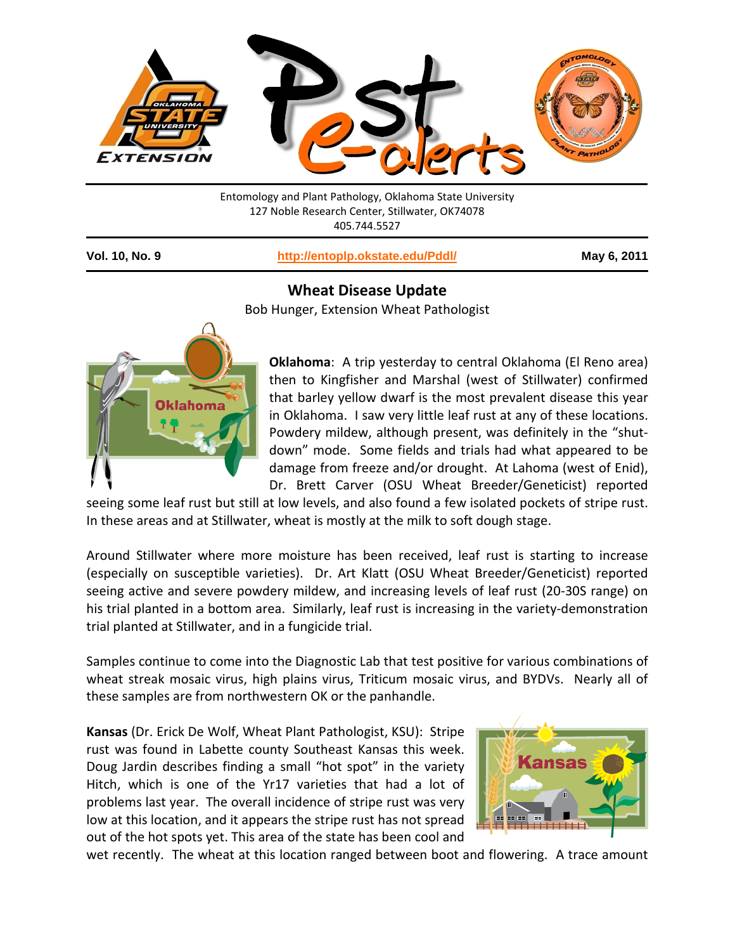

Entomology and Plant Pathology, Oklahoma State University 127 Noble Research Center, Stillwater, OK74078 405.744.5527

**Vol. 10, No. 9 <http://entoplp.okstate.edu/Pddl/> May 6, 2011**

## **Wheat Disease Update**

Bob Hunger, Extension Wheat Pathologist



**Oklahoma**: A trip yesterday to central Oklahoma (El Reno area) then to Kingfisher and Marshal (west of Stillwater) confirmed that barley yellow dwarf is the most prevalent disease this year in Oklahoma. I saw very little leaf rust at any of these locations. Powdery mildew, although present, was definitely in the "shutdown" mode. Some fields and trials had what appeared to be damage from freeze and/or drought. At Lahoma (west of Enid), Dr. Brett Carver (OSU Wheat Breeder/Geneticist) reported

seeing some leaf rust but still at low levels, and also found a few isolated pockets of stripe rust. In these areas and at Stillwater, wheat is mostly at the milk to soft dough stage.

Around Stillwater where more moisture has been received, leaf rust is starting to increase (especially on susceptible varieties). Dr. Art Klatt (OSU Wheat Breeder/Geneticist) reported seeing active and severe powdery mildew, and increasing levels of leaf rust (20-30S range) on his trial planted in a bottom area. Similarly, leaf rust is increasing in the variety-demonstration trial planted at Stillwater, and in a fungicide trial.

Samples continue to come into the Diagnostic Lab that test positive for various combinations of wheat streak mosaic virus, high plains virus, Triticum mosaic virus, and BYDVs. Nearly all of these samples are from northwestern OK or the panhandle.

**Kansas** (Dr. Erick De Wolf, Wheat Plant Pathologist, KSU): Stripe rust was found in Labette county Southeast Kansas this week. Doug Jardin describes finding a small "hot spot" in the variety Hitch, which is one of the Yr17 varieties that had a lot of problems last year. The overall incidence of stripe rust was very low at this location, and it appears the stripe rust has not spread out of the hot spots yet. This area of the state has been cool and



wet recently. The wheat at this location ranged between boot and flowering. A trace amount